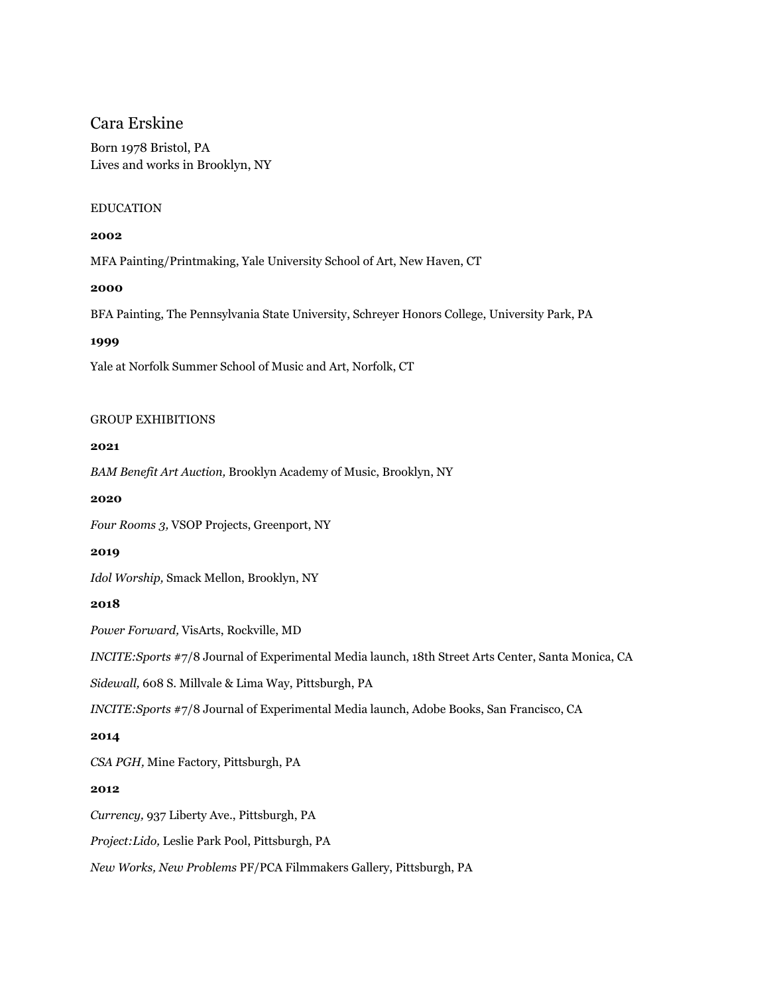# Cara Erskine

Born 1978 Bristol, PA Lives and works in Brooklyn, NY

### EDUCATION

### **2002**

MFA Painting/Printmaking, Yale University School of Art, New Haven, CT

### **2000**

BFA Painting, The Pennsylvania State University, Schreyer Honors College, University Park, PA

### **1999**

Yale at Norfolk Summer School of Music and Art, Norfolk, CT

### GROUP EXHIBITIONS

### **2021**

*BAM Benefit Art Auction,* Brooklyn Academy of Music, Brooklyn, NY

## **2020**

*Four [Rooms](http://www.vsopprojects.com/) 3,* VSOP Projects, Greenport, NY

### **2019**

*Idol [Worship,](https://www.smackmellon.org/exhibition/idol-worship/)* Smack Mellon, Brooklyn, NY

# **2018**

*Power [Forward,](https://www.visartscenter.org/event/power-forward/)* VisArts, Rockville, MD

*[INCITE:Sports](https://18thstreet.org/event/sports-incite-journal-of-experimental-media-launch-party/)* #7/8 Journal of Experimental Media launch, 18th Street Arts Center, Santa Monica, CA

*[Sidewall,](https://sidewallproject.wordpress.com/past-exhibits/)* 608 S. Millvale & Lima Way, Pittsburgh, PA

*[INCITE:Sports](http://www.adobebooks.com/blog/2018/1/7/winningest-issue-7-8-launch-of-incite-journal-of-experimental-media)* #7/8 Journal of Experimental Media launch, Adobe Books, San Francisco, CA

### **2014**

*CSA [PGH,](https://www.csapgh.com/2014)* Mine Factory, Pittsburgh, PA

### **2012**

*Currency,* 937 Liberty Ave., Pittsburgh, PA

*Project:Lido,* Leslie Park Pool, Pittsburgh, PA

*New Works, New Problems* PF/PCA Filmmakers Gallery, Pittsburgh, PA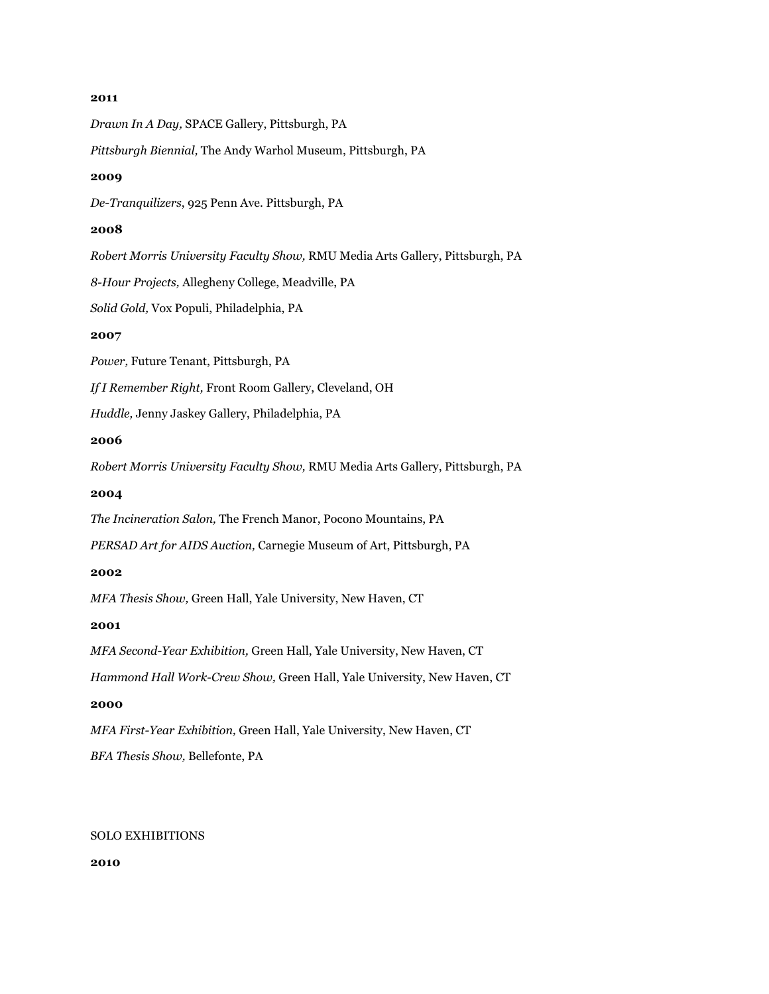#### **2011**

*Drawn In A Day,* SPACE Gallery, Pittsburgh, PA *Pittsburgh Biennial,* The Andy Warhol Museum, Pittsburgh, PA **2009** *De-Tranquilizers*, 925 Penn Ave. Pittsburgh, PA **2008** *Robert Morris University Faculty Show,* RMU Media Arts Gallery, Pittsburgh, PA *8-Hour Projects,* Allegheny College, Meadville, PA *Solid Gold,* Vox Populi, Philadelphia, PA **2007** *Power,* Future Tenant, Pittsburgh, PA *If I Remember Right,* Front Room Gallery, Cleveland, OH *Huddle,* Jenny Jaskey Gallery, Philadelphia, PA **2006** *Robert Morris University Faculty Show,* RMU Media Arts Gallery, Pittsburgh, PA **2004** *The Incineration Salon,* The French Manor, Pocono Mountains, PA *PERSAD Art for AIDS Auction,* Carnegie Museum of Art, Pittsburgh, PA **2002** *MFA Thesis Show,* Green Hall, Yale University, New Haven, CT **2001** *MFA Second-Year Exhibition,* Green Hall, Yale University, New Haven, CT *Hammond Hall Work-Crew Show,* Green Hall, Yale University, New Haven, CT **2000** *MFA First-Year Exhibition,* Green Hall, Yale University, New Haven, CT *BFA Thesis Show,* Bellefonte, PA

## SOLO EXHIBITIONS

**2010**